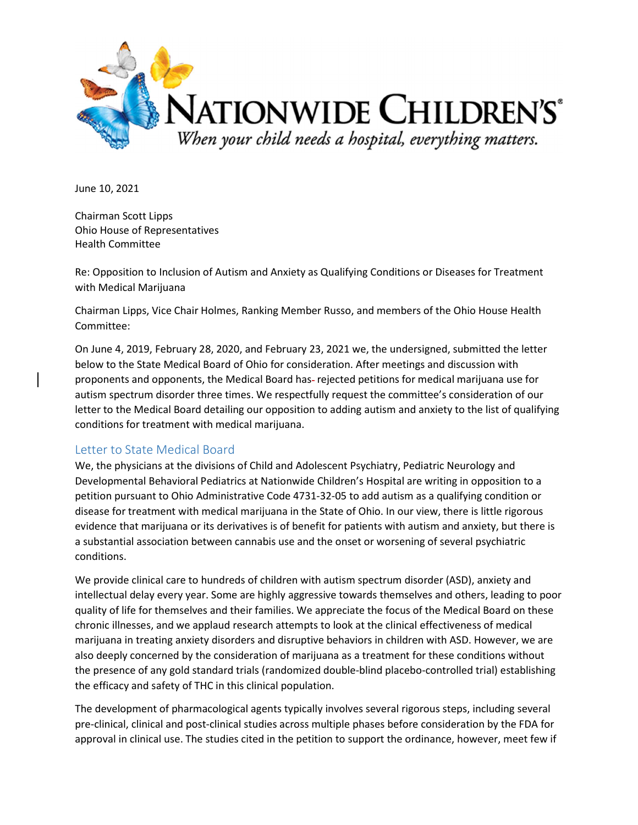

June 10, 2021

Chairman Scott Lipps Ohio House of Representatives Health Committee

Re: Opposition to Inclusion of Autism and Anxiety as Qualifying Conditions or Diseases for Treatment with Medical Marijuana

Chairman Lipps, Vice Chair Holmes, Ranking Member Russo, and members of the Ohio House Health Committee:

On June 4, 2019, February 28, 2020, and February 23, 2021 we, the undersigned, submitted the letter below to the State Medical Board of Ohio for consideration. After meetings and discussion with proponents and opponents, the Medical Board has-rejected petitions for medical marijuana use for autism spectrum disorder three times. We respectfully request the committee's consideration of our letter to the Medical Board detailing our opposition to adding autism and anxiety to the list of qualifying conditions for treatment with medical marijuana.

## Letter to State Medical Board

We, the physicians at the divisions of Child and Adolescent Psychiatry, Pediatric Neurology and Developmental Behavioral Pediatrics at Nationwide Children's Hospital are writing in opposition to a petition pursuant to Ohio Administrative Code 4731-32-05 to add autism as a qualifying condition or disease for treatment with medical marijuana in the State of Ohio. In our view, there is little rigorous evidence that marijuana or its derivatives is of benefit for patients with autism and anxiety, but there is a substantial association between cannabis use and the onset or worsening of several psychiatric conditions.

We provide clinical care to hundreds of children with autism spectrum disorder (ASD), anxiety and intellectual delay every year. Some are highly aggressive towards themselves and others, leading to poor quality of life for themselves and their families. We appreciate the focus of the Medical Board on these chronic illnesses, and we applaud research attempts to look at the clinical effectiveness of medical marijuana in treating anxiety disorders and disruptive behaviors in children with ASD. However, we are also deeply concerned by the consideration of marijuana as a treatment for these conditions without the presence of any gold standard trials (randomized double-blind placebo-controlled trial) establishing the efficacy and safety of THC in this clinical population.

The development of pharmacological agents typically involves several rigorous steps, including several pre-clinical, clinical and post-clinical studies across multiple phases before consideration by the FDA for approval in clinical use. The studies cited in the petition to support the ordinance, however, meet few if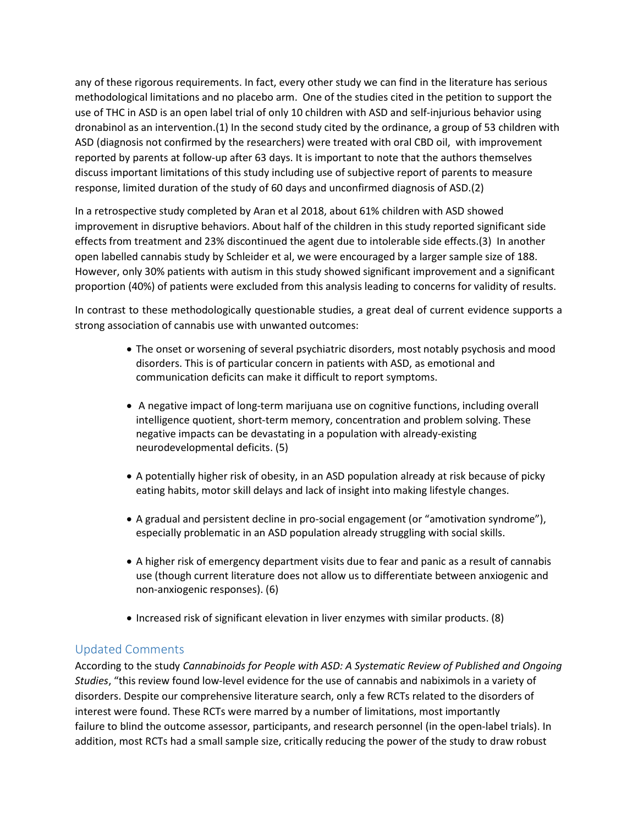any of these rigorous requirements. In fact, every other study we can find in the literature has serious methodological limitations and no placebo arm. One of the studies cited in the petition to support the use of THC in ASD is an open label trial of only 10 children with ASD and self-injurious behavior using dronabinol as an intervention.(1) In the second study cited by the ordinance, a group of 53 children with ASD (diagnosis not confirmed by the researchers) were treated with oral CBD oil, with improvement reported by parents at follow-up after 63 days. It is important to note that the authors themselves discuss important limitations of this study including use of subjective report of parents to measure response, limited duration of the study of 60 days and unconfirmed diagnosis of ASD.(2)

In a retrospective study completed by Aran et al 2018, about 61% children with ASD showed improvement in disruptive behaviors. About half of the children in this study reported significant side effects from treatment and 23% discontinued the agent due to intolerable side effects.(3) In another open labelled cannabis study by Schleider et al, we were encouraged by a larger sample size of 188. However, only 30% patients with autism in this study showed significant improvement and a significant proportion (40%) of patients were excluded from this analysis leading to concerns for validity of results.

In contrast to these methodologically questionable studies, a great deal of current evidence supports a strong association of cannabis use with unwanted outcomes:

- The onset or worsening of several psychiatric disorders, most notably psychosis and mood disorders. This is of particular concern in patients with ASD, as emotional and communication deficits can make it difficult to report symptoms.
- A negative impact of long-term marijuana use on cognitive functions, including overall intelligence quotient, short-term memory, concentration and problem solving. These negative impacts can be devastating in a population with already-existing neurodevelopmental deficits. (5)
- A potentially higher risk of obesity, in an ASD population already at risk because of picky eating habits, motor skill delays and lack of insight into making lifestyle changes.
- A gradual and persistent decline in pro-social engagement (or "amotivation syndrome"), especially problematic in an ASD population already struggling with social skills.
- A higher risk of emergency department visits due to fear and panic as a result of cannabis use (though current literature does not allow us to differentiate between anxiogenic and non-anxiogenic responses). (6)
- Increased risk of significant elevation in liver enzymes with similar products. (8)

## Updated Comments

According to the study Cannabinoids for People with ASD: A Systematic Review of Published and Ongoing Studies, "this review found low-level evidence for the use of cannabis and nabiximols in a variety of disorders. Despite our comprehensive literature search, only a few RCTs related to the disorders of interest were found. These RCTs were marred by a number of limitations, most importantly failure to blind the outcome assessor, participants, and research personnel (in the open-label trials). In addition, most RCTs had a small sample size, critically reducing the power of the study to draw robust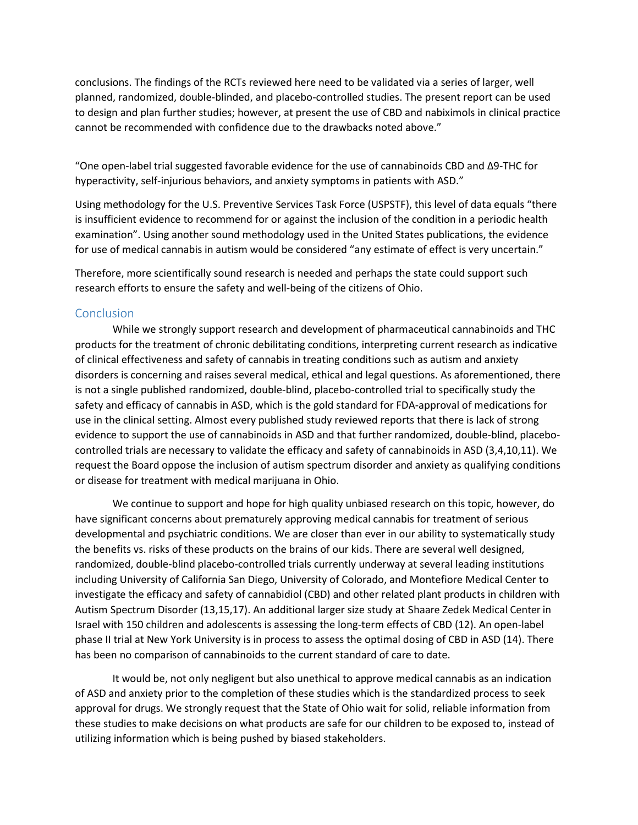conclusions. The findings of the RCTs reviewed here need to be validated via a series of larger, well planned, randomized, double-blinded, and placebo-controlled studies. The present report can be used to design and plan further studies; however, at present the use of CBD and nabiximols in clinical practice cannot be recommended with confidence due to the drawbacks noted above."

"One open-label trial suggested favorable evidence for the use of cannabinoids CBD and Δ9-THC for hyperactivity, self-injurious behaviors, and anxiety symptoms in patients with ASD."

Using methodology for the U.S. Preventive Services Task Force (USPSTF), this level of data equals "there is insufficient evidence to recommend for or against the inclusion of the condition in a periodic health examination". Using another sound methodology used in the United States publications, the evidence for use of medical cannabis in autism would be considered "any estimate of effect is very uncertain."

Therefore, more scientifically sound research is needed and perhaps the state could support such research efforts to ensure the safety and well-being of the citizens of Ohio.

## Conclusion

While we strongly support research and development of pharmaceutical cannabinoids and THC products for the treatment of chronic debilitating conditions, interpreting current research as indicative of clinical effectiveness and safety of cannabis in treating conditions such as autism and anxiety disorders is concerning and raises several medical, ethical and legal questions. As aforementioned, there is not a single published randomized, double-blind, placebo-controlled trial to specifically study the safety and efficacy of cannabis in ASD, which is the gold standard for FDA-approval of medications for use in the clinical setting. Almost every published study reviewed reports that there is lack of strong evidence to support the use of cannabinoids in ASD and that further randomized, double-blind, placebocontrolled trials are necessary to validate the efficacy and safety of cannabinoids in ASD (3,4,10,11). We request the Board oppose the inclusion of autism spectrum disorder and anxiety as qualifying conditions or disease for treatment with medical marijuana in Ohio.

We continue to support and hope for high quality unbiased research on this topic, however, do have significant concerns about prematurely approving medical cannabis for treatment of serious developmental and psychiatric conditions. We are closer than ever in our ability to systematically study the benefits vs. risks of these products on the brains of our kids. There are several well designed, randomized, double-blind placebo-controlled trials currently underway at several leading institutions including University of California San Diego, University of Colorado, and Montefiore Medical Center to investigate the efficacy and safety of cannabidiol (CBD) and other related plant products in children with Autism Spectrum Disorder (13,15,17). An additional larger size study at Shaare Zedek Medical Center in Israel with 150 children and adolescents is assessing the long-term effects of CBD (12). An open-label phase II trial at New York University is in process to assess the optimal dosing of CBD in ASD (14). There has been no comparison of cannabinoids to the current standard of care to date.

It would be, not only negligent but also unethical to approve medical cannabis as an indication of ASD and anxiety prior to the completion of these studies which is the standardized process to seek approval for drugs. We strongly request that the State of Ohio wait for solid, reliable information from these studies to make decisions on what products are safe for our children to be exposed to, instead of utilizing information which is being pushed by biased stakeholders.